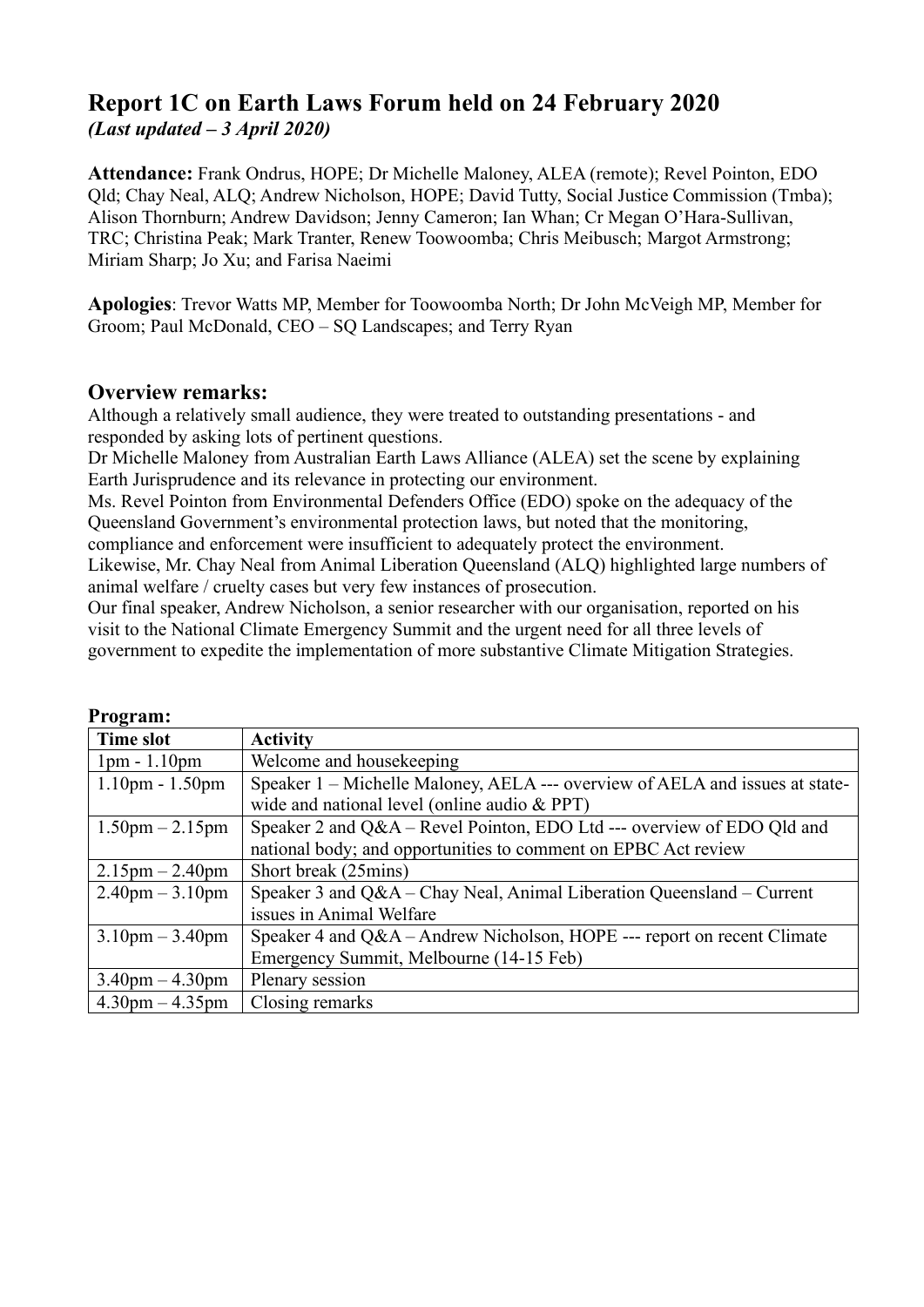# **Report 1C on Earth Laws Forum held on 24 February 2020** *(Last updated – 3 April 2020)*

**Attendance:** Frank Ondrus, HOPE; Dr Michelle Maloney, ALEA (remote); Revel Pointon, EDO Qld; Chay Neal, ALQ; Andrew Nicholson, HOPE; David Tutty, Social Justice Commission (Tmba); Alison Thornburn; Andrew Davidson; Jenny Cameron; Ian Whan; Cr Megan O'Hara-Sullivan, TRC; Christina Peak; Mark Tranter, Renew Toowoomba; Chris Meibusch; Margot Armstrong; Miriam Sharp; Jo Xu; and Farisa Naeimi

**Apologies**: Trevor Watts MP, Member for Toowoomba North; Dr John McVeigh MP, Member for Groom; Paul McDonald, CEO – SQ Landscapes; and Terry Ryan

# **Overview remarks:**

Although a relatively small audience, they were treated to outstanding presentations - and responded by asking lots of pertinent questions.

Dr Michelle Maloney from Australian Earth Laws Alliance (ALEA) set the scene by explaining Earth Jurisprudence and its relevance in protecting our environment.

Ms. Revel Pointon from Environmental Defenders Office (EDO) spoke on the adequacy of the Queensland Government's environmental protection laws, but noted that the monitoring,

compliance and enforcement were insufficient to adequately protect the environment.

Likewise, Mr. Chay Neal from Animal Liberation Queensland (ALQ) highlighted large numbers of animal welfare / cruelty cases but very few instances of prosecution.

Our final speaker, Andrew Nicholson, a senior researcher with our organisation, reported on his visit to the National Climate Emergency Summit and the urgent need for all three levels of government to expedite the implementation of more substantive Climate Mitigation Strategies.

| і годі аш.                        |                                                                              |
|-----------------------------------|------------------------------------------------------------------------------|
| <b>Time slot</b>                  | <b>Activity</b>                                                              |
| $1pm - 1.10pm$                    | Welcome and housekeeping                                                     |
| $1.10$ pm - $1.50$ pm             | Speaker 1 – Michelle Maloney, AELA --- overview of AELA and issues at state- |
|                                   | wide and national level (online audio $& PPT$ )                              |
| $1.50 \text{pm} - 2.15 \text{pm}$ | Speaker 2 and Q&A - Revel Pointon, EDO Ltd --- overview of EDO Qld and       |
|                                   | national body; and opportunities to comment on EPBC Act review               |
| $2.15$ pm $- 2.40$ pm             | Short break (25mins)                                                         |
| $2.40$ pm $-3.10$ pm              | Speaker 3 and Q&A – Chay Neal, Animal Liberation Queensland – Current        |
|                                   | issues in Animal Welfare                                                     |
| $3.10 \text{pm} - 3.40 \text{pm}$ | Speaker 4 and Q&A – Andrew Nicholson, HOPE --- report on recent Climate      |
|                                   | Emergency Summit, Melbourne (14-15 Feb)                                      |
| $3.40$ pm $-4.30$ pm              | Plenary session                                                              |
| $4.30 \text{pm} - 4.35 \text{pm}$ | Closing remarks                                                              |

| <b>Program:</b> |
|-----------------|
|-----------------|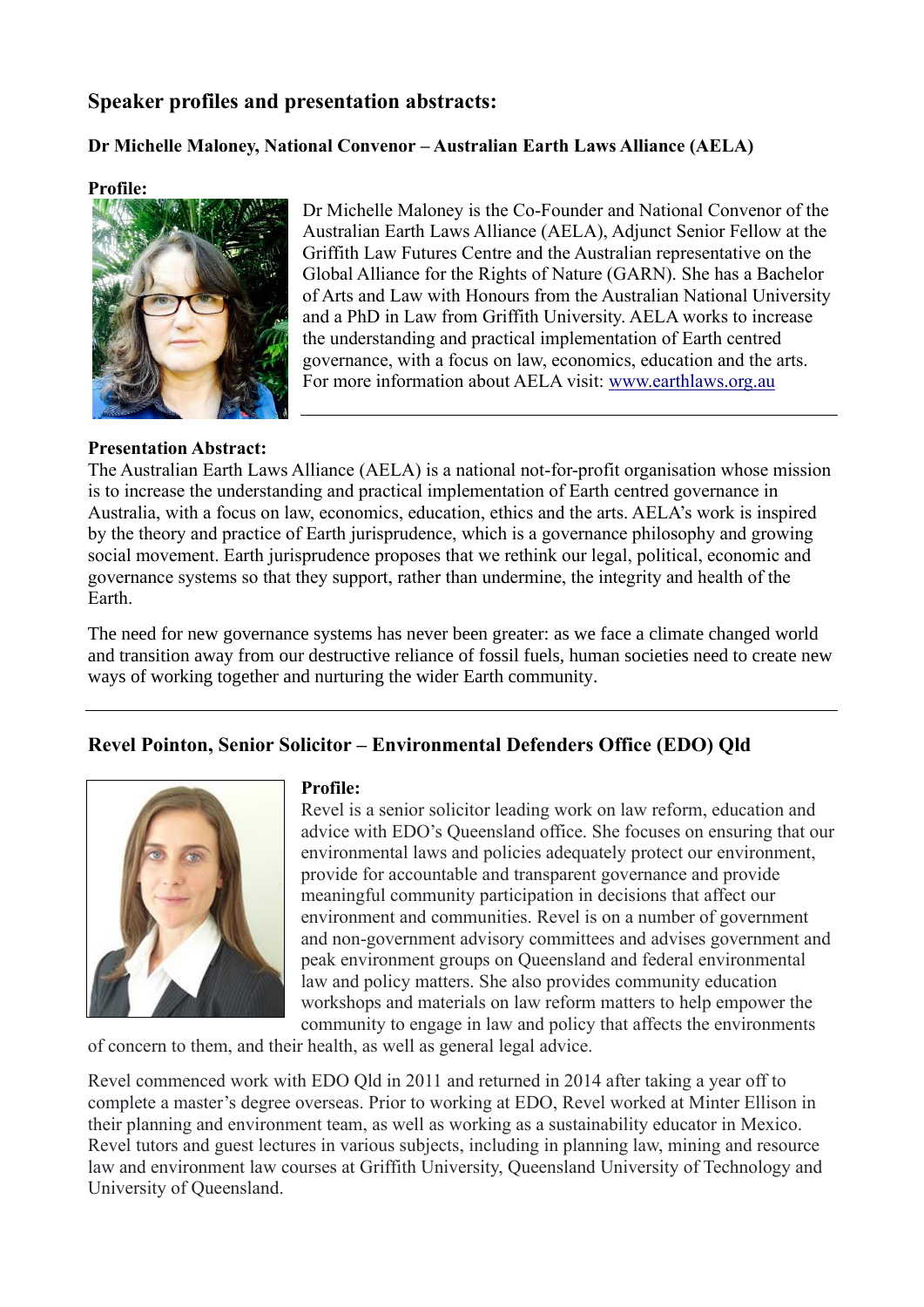# **Speaker profiles and presentation abstracts:**

## **Dr Michelle Maloney, National Convenor – Australian Earth Laws Alliance (AELA)**

### **Profile:**



Dr Michelle Maloney is the Co-Founder and National Convenor of the Australian Earth Laws Alliance (AELA), Adjunct Senior Fellow at the Griffith Law Futures Centre and the Australian representative on the Global Alliance for the Rights of Nature (GARN). She has a Bachelor of Arts and Law with Honours from the Australian National University and a PhD in Law from Griffith University. AELA works to increase the understanding and practical implementation of Earth centred governance, with a focus on law, economics, education and the arts. For more information about AELA visit: www.earthlaws.org.au

## **Presentation Abstract:**

The Australian Earth Laws Alliance (AELA) is a national not-for-profit organisation whose mission is to increase the understanding and practical implementation of Earth centred governance in Australia, with a focus on law, economics, education, ethics and the arts. AELA's work is inspired by the theory and practice of Earth jurisprudence, which is a governance philosophy and growing social movement. Earth jurisprudence proposes that we rethink our legal, political, economic and governance systems so that they support, rather than undermine, the integrity and health of the Earth.

The need for new governance systems has never been greater: as we face a climate changed world and transition away from our destructive reliance of fossil fuels, human societies need to create new ways of working together and nurturing the wider Earth community.

# **Revel Pointon, Senior Solicitor – Environmental Defenders Office (EDO) Qld**



#### **Profile:**

Revel is a senior solicitor leading work on law reform, education and advice with EDO's Queensland office. She focuses on ensuring that our environmental laws and policies adequately protect our environment, provide for accountable and transparent governance and provide meaningful community participation in decisions that affect our environment and communities. Revel is on a number of government and non-government advisory committees and advises government and peak environment groups on Queensland and federal environmental law and policy matters. She also provides community education workshops and materials on law reform matters to help empower the community to engage in law and policy that affects the environments

of concern to them, and their health, as well as general legal advice.

Revel commenced work with EDO Qld in 2011 and returned in 2014 after taking a year off to complete a master's degree overseas. Prior to working at EDO, Revel worked at Minter Ellison in their planning and environment team, as well as working as a sustainability educator in Mexico. Revel tutors and guest lectures in various subjects, including in planning law, mining and resource law and environment law courses at Griffith University, Queensland University of Technology and University of Queensland.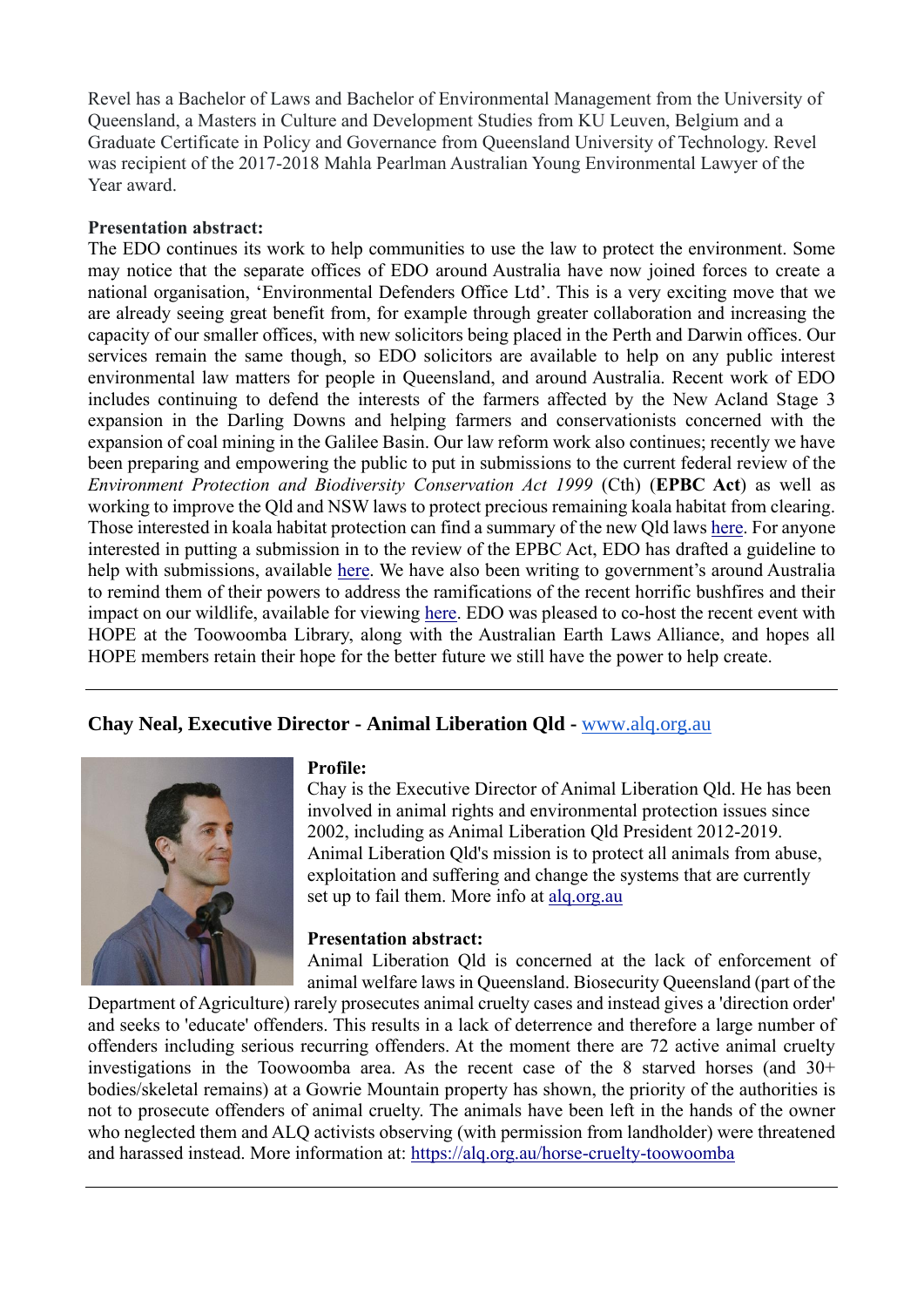Revel has a Bachelor of Laws and Bachelor of Environmental Management from the University of Queensland, a Masters in Culture and Development Studies from KU Leuven, Belgium and a Graduate Certificate in Policy and Governance from Queensland University of Technology. Revel was recipient of the 2017-2018 Mahla Pearlman Australian Young Environmental Lawyer of the Year award.

### **Presentation abstract:**

The EDO continues its work to help communities to use the law to protect the environment. Some may notice that the separate offices of EDO around Australia have now joined forces to create a national organisation, 'Environmental Defenders Office Ltd'. This is a very exciting move that we are already seeing great benefit from, for example through greater collaboration and increasing the capacity of our smaller offices, with new solicitors being placed in the Perth and Darwin offices. Our services remain the same though, so EDO solicitors are available to help on any public interest environmental law matters for people in Queensland, and around Australia. Recent work of EDO includes continuing to defend the interests of the farmers affected by the New Acland Stage 3 expansion in the Darling Downs and helping farmers and conservationists concerned with the expansion of coal mining in the Galilee Basin. Our law reform work also continues; recently we have been preparing and empowering the public to put in submissions to the current federal review of the *Environment Protection and Biodiversity Conservation Act 1999* (Cth) (**EPBC Act**) as well as working to improve the Qld and NSW laws to protect precious remaining koala habitat from clearing. Those interested in koala habitat protection can find a summary of the new Qld laws here. For anyone interested in putting a submission in to the review of the EPBC Act, EDO has drafted a guideline to help with submissions, available here. We have also been writing to government's around Australia to remind them of their powers to address the ramifications of the recent horrific bushfires and their impact on our wildlife, available for viewing here. EDO was pleased to co-host the recent event with HOPE at the Toowoomba Library, along with the Australian Earth Laws Alliance, and hopes all HOPE members retain their hope for the better future we still have the power to help create.

# **Chay Neal, Executive Director - Animal Liberation Qld -** www.alq.org.au



#### **Profile:**

Chay is the Executive Director of Animal Liberation Qld. He has been involved in animal rights and environmental protection issues since 2002, including as Animal Liberation Qld President 2012-2019. Animal Liberation Qld's mission is to protect all animals from abuse, exploitation and suffering and change the systems that are currently set up to fail them. More info at alq.org.au

#### **Presentation abstract:**

Animal Liberation Qld is concerned at the lack of enforcement of animal welfare laws in Queensland. Biosecurity Queensland (part of the

Department of Agriculture) rarely prosecutes animal cruelty cases and instead gives a 'direction order' and seeks to 'educate' offenders. This results in a lack of deterrence and therefore a large number of offenders including serious recurring offenders. At the moment there are 72 active animal cruelty investigations in the Toowoomba area. As the recent case of the 8 starved horses (and  $30<sup>+</sup>$ bodies/skeletal remains) at a Gowrie Mountain property has shown, the priority of the authorities is not to prosecute offenders of animal cruelty. The animals have been left in the hands of the owner who neglected them and ALQ activists observing (with permission from landholder) were threatened and harassed instead. More information at: https://alq.org.au/horse-cruelty-toowoomba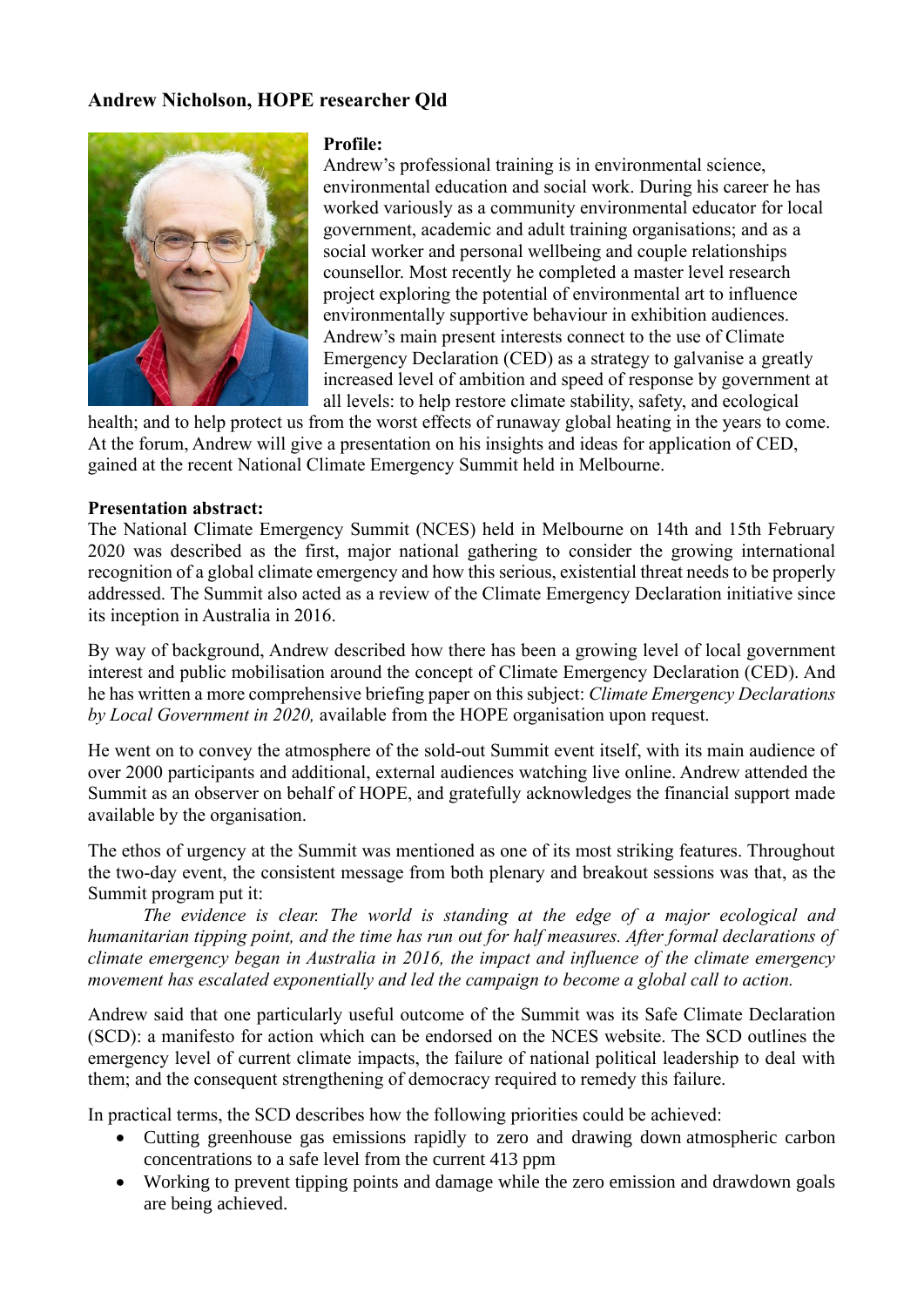## **Andrew Nicholson, HOPE researcher Qld**



#### **Profile:**

Andrew's professional training is in environmental science, environmental education and social work. During his career he has worked variously as a community environmental educator for local government, academic and adult training organisations; and as a social worker and personal wellbeing and couple relationships counsellor. Most recently he completed a master level research project exploring the potential of environmental art to influence environmentally supportive behaviour in exhibition audiences. Andrew's main present interests connect to the use of Climate Emergency Declaration (CED) as a strategy to galvanise a greatly increased level of ambition and speed of response by government at all levels: to help restore climate stability, safety, and ecological

health; and to help protect us from the worst effects of runaway global heating in the years to come. At the forum, Andrew will give a presentation on his insights and ideas for application of CED, gained at the recent National Climate Emergency Summit held in Melbourne.

#### **Presentation abstract:**

The National Climate Emergency Summit (NCES) held in Melbourne on 14th and 15th February 2020 was described as the first, major national gathering to consider the growing international recognition of a global climate emergency and how this serious, existential threat needs to be properly addressed. The Summit also acted as a review of the Climate Emergency Declaration initiative since its inception in Australia in 2016.

By way of background, Andrew described how there has been a growing level of local government interest and public mobilisation around the concept of Climate Emergency Declaration (CED). And he has written a more comprehensive briefing paper on this subject: *Climate Emergency Declarations by Local Government in 2020,* available from the HOPE organisation upon request.

He went on to convey the atmosphere of the sold-out Summit event itself, with its main audience of over 2000 participants and additional, external audiences watching live online. Andrew attended the Summit as an observer on behalf of HOPE, and gratefully acknowledges the financial support made available by the organisation.

The ethos of urgency at the Summit was mentioned as one of its most striking features. Throughout the two-day event, the consistent message from both plenary and breakout sessions was that, as the Summit program put it:

*The evidence is clear. The world is standing at the edge of a major ecological and humanitarian tipping point, and the time has run out for half measures. After formal declarations of climate emergency began in Australia in 2016, the impact and influence of the climate emergency movement has escalated exponentially and led the campaign to become a global call to action.*

Andrew said that one particularly useful outcome of the Summit was its Safe Climate Declaration (SCD): a manifesto for action which can be endorsed on the NCES website. The SCD outlines the emergency level of current climate impacts, the failure of national political leadership to deal with them; and the consequent strengthening of democracy required to remedy this failure.

In practical terms, the SCD describes how the following priorities could be achieved:

- Cutting greenhouse gas emissions rapidly to zero and drawing down atmospheric carbon concentrations to a safe level from the current 413 ppm
- Working to prevent tipping points and damage while the zero emission and drawdown goals are being achieved.